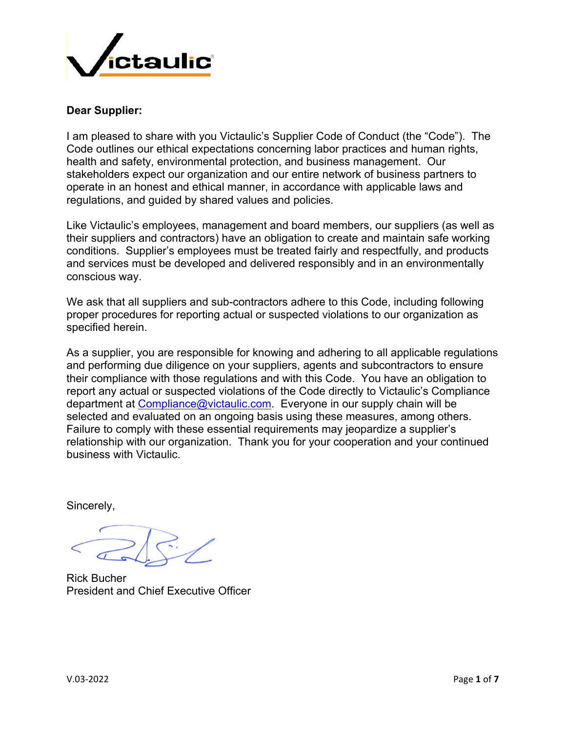

### **Dear Supplier:**

I am pleased to share with you Victaulic's Supplier Code of Conduct (the "Code"). The Code outlines our ethical expectations concerning labor practices and human rights, health and safety, environmental protection, and business management. Our stakeholders expect our organization and our entire network of business partners to operate in an honest and ethical manner, in accordance with applicable laws and regulations, and guided by shared values and policies.

Like Victaulic's employees, management and board members, our suppliers (as well as their suppliers and contractors) have an obligation to create and maintain safe working conditions. Supplier's employees must be treated fairly and respectfully, and products and services must be developed and delivered responsibly and in an environmentally conscious way.

We ask that all suppliers and sub-contractors adhere to this Code, including following proper procedures for reporting actual or suspected violations to our organization as specified herein.

As a supplier, you are responsible for knowing and adhering to all applicable regulations and performing due diligence on your suppliers, agents and subcontractors to ensure their compliance with those regulations and with this Code. You have an obligation to report any actual or suspected violations of the Code directly to Victaulic's Compliance department at Compliance@victaulic.com. Everyone in our supply chain will be selected and evaluated on an ongoing basis using these measures, among others. Failure to comply with these essential requirements may jeopardize a supplier's relationship with our organization. Thank you for your cooperation and your continued business with Victaulic.

Sincerely,

Rick Bucher President and Chief Executive Officer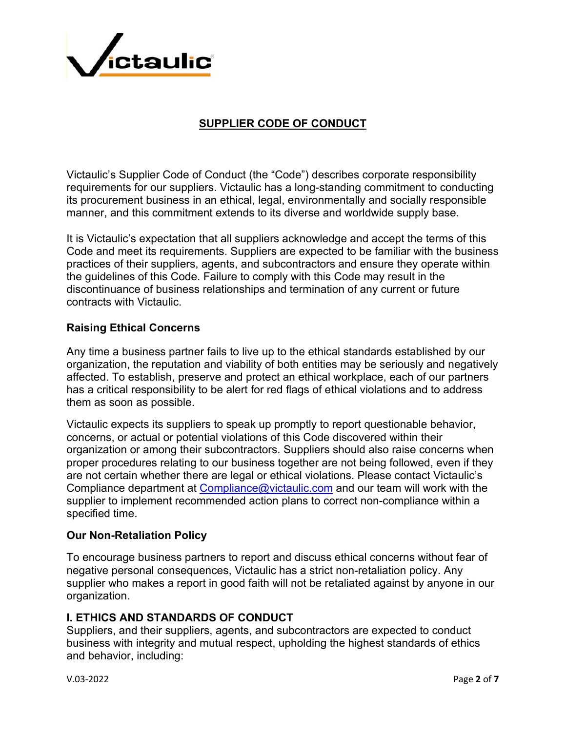

# **SUPPLIER CODE OF CONDUCT**

Victaulic's Supplier Code of Conduct (the "Code") describes corporate responsibility requirements for our suppliers. Victaulic has a long-standing commitment to conducting its procurement business in an ethical, legal, environmentally and socially responsible manner, and this commitment extends to its diverse and worldwide supply base.

It is Victaulic's expectation that all suppliers acknowledge and accept the terms of this Code and meet its requirements. Suppliers are expected to be familiar with the business practices of their suppliers, agents, and subcontractors and ensure they operate within the guidelines of this Code. Failure to comply with this Code may result in the discontinuance of business relationships and termination of any current or future contracts with Victaulic.

#### **Raising Ethical Concerns**

Any time a business partner fails to live up to the ethical standards established by our organization, the reputation and viability of both entities may be seriously and negatively affected. To establish, preserve and protect an ethical workplace, each of our partners has a critical responsibility to be alert for red flags of ethical violations and to address them as soon as possible.

Victaulic expects its suppliers to speak up promptly to report questionable behavior, concerns, or actual or potential violations of this Code discovered within their organization or among their subcontractors. Suppliers should also raise concerns when proper procedures relating to our business together are not being followed, even if they are not certain whether there are legal or ethical violations. Please contact Victaulic's Compliance department at Compliance@victaulic.com and our team will work with the supplier to implement recommended action plans to correct non-compliance within a specified time.

#### **Our Non-Retaliation Policy**

To encourage business partners to report and discuss ethical concerns without fear of negative personal consequences, Victaulic has a strict non-retaliation policy. Any supplier who makes a report in good faith will not be retaliated against by anyone in our organization.

#### **I. ETHICS AND STANDARDS OF CONDUCT**

Suppliers, and their suppliers, agents, and subcontractors are expected to conduct business with integrity and mutual respect, upholding the highest standards of ethics and behavior, including: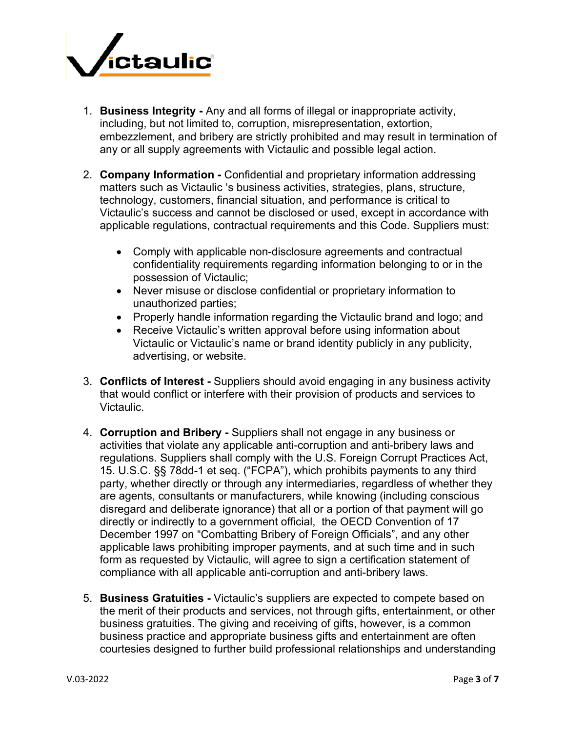

- 1. **Business Integrity -** Any and all forms of illegal or inappropriate activity, including, but not limited to, corruption, misrepresentation, extortion, embezzlement, and bribery are strictly prohibited and may result in termination of any or all supply agreements with Victaulic and possible legal action.
- 2. **Company Information -** Confidential and proprietary information addressing matters such as Victaulic 's business activities, strategies, plans, structure, technology, customers, financial situation, and performance is critical to Victaulic's success and cannot be disclosed or used, except in accordance with applicable regulations, contractual requirements and this Code. Suppliers must:
	- Comply with applicable non-disclosure agreements and contractual confidentiality requirements regarding information belonging to or in the possession of Victaulic;
	- Never misuse or disclose confidential or proprietary information to unauthorized parties;
	- Properly handle information regarding the Victaulic brand and logo; and
	- Receive Victaulic's written approval before using information about Victaulic or Victaulic's name or brand identity publicly in any publicity, advertising, or website.
- 3. **Conflicts of Interest -** Suppliers should avoid engaging in any business activity that would conflict or interfere with their provision of products and services to Victaulic.
- 4. **Corruption and Bribery -** Suppliers shall not engage in any business or activities that violate any applicable anti-corruption and anti-bribery laws and regulations. Suppliers shall comply with the U.S. Foreign Corrupt Practices Act, 15. U.S.C. §§ 78dd-1 et seq. ("FCPA"), which prohibits payments to any third party, whether directly or through any intermediaries, regardless of whether they are agents, consultants or manufacturers, while knowing (including conscious disregard and deliberate ignorance) that all or a portion of that payment will go directly or indirectly to a government official, the OECD Convention of 17 December 1997 on "Combatting Bribery of Foreign Officials", and any other applicable laws prohibiting improper payments, and at such time and in such form as requested by Victaulic, will agree to sign a certification statement of compliance with all applicable anti-corruption and anti-bribery laws.
- 5. **Business Gratuities -** Victaulic's suppliers are expected to compete based on the merit of their products and services, not through gifts, entertainment, or other business gratuities. The giving and receiving of gifts, however, is a common business practice and appropriate business gifts and entertainment are often courtesies designed to further build professional relationships and understanding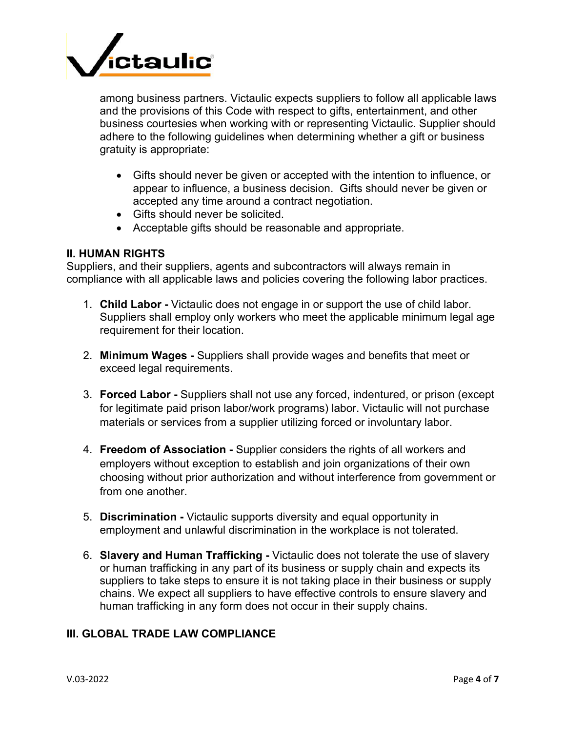

among business partners. Victaulic expects suppliers to follow all applicable laws and the provisions of this Code with respect to gifts, entertainment, and other business courtesies when working with or representing Victaulic. Supplier should adhere to the following guidelines when determining whether a gift or business gratuity is appropriate:

- Gifts should never be given or accepted with the intention to influence, or appear to influence, a business decision. Gifts should never be given or accepted any time around a contract negotiation.
- Gifts should never be solicited.
- Acceptable gifts should be reasonable and appropriate.

#### **II. HUMAN RIGHTS**

Suppliers, and their suppliers, agents and subcontractors will always remain in compliance with all applicable laws and policies covering the following labor practices.

- 1. **Child Labor -** Victaulic does not engage in or support the use of child labor. Suppliers shall employ only workers who meet the applicable minimum legal age requirement for their location.
- 2. **Minimum Wages -** Suppliers shall provide wages and benefits that meet or exceed legal requirements.
- 3. **Forced Labor -** Suppliers shall not use any forced, indentured, or prison (except for legitimate paid prison labor/work programs) labor. Victaulic will not purchase materials or services from a supplier utilizing forced or involuntary labor.
- 4. **Freedom of Association -** Supplier considers the rights of all workers and employers without exception to establish and join organizations of their own choosing without prior authorization and without interference from government or from one another.
- 5. **Discrimination -** Victaulic supports diversity and equal opportunity in employment and unlawful discrimination in the workplace is not tolerated.
- 6. **Slavery and Human Trafficking -** Victaulic does not tolerate the use of slavery or human trafficking in any part of its business or supply chain and expects its suppliers to take steps to ensure it is not taking place in their business or supply chains. We expect all suppliers to have effective controls to ensure slavery and human trafficking in any form does not occur in their supply chains.

## **III. GLOBAL TRADE LAW COMPLIANCE**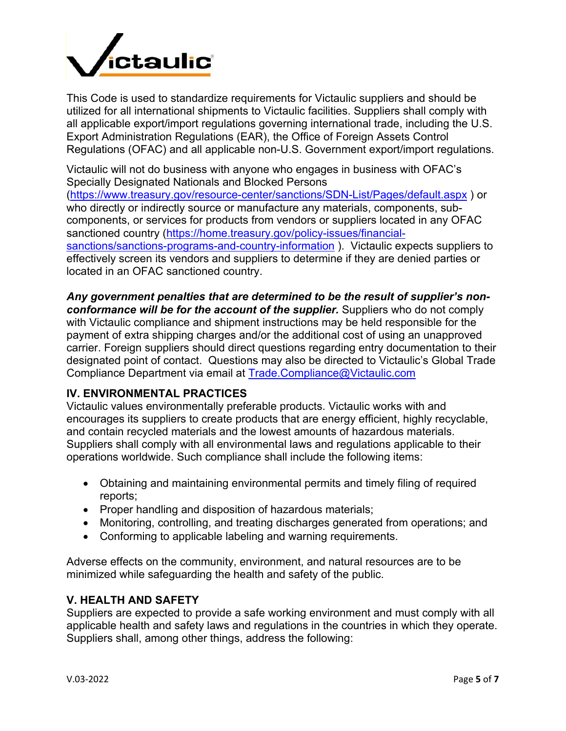

This Code is used to standardize requirements for Victaulic suppliers and should be utilized for all international shipments to Victaulic facilities. Suppliers shall comply with all applicable export/import regulations governing international trade, including the U.S. Export Administration Regulations (EAR), the Office of Foreign Assets Control Regulations (OFAC) and all applicable non-U.S. Government export/import regulations.

Victaulic will not do business with anyone who engages in business with OFAC's Specially Designated Nationals and Blocked Persons (https://www.treasury.gov/resource-center/sanctions/SDN-List/Pages/default.aspx ) or who directly or indirectly source or manufacture any materials, components, subcomponents, or services for products from vendors or suppliers located in any OFAC sanctioned country (https://home.treasury.gov/policy-issues/financialsanctions/sanctions-programs-and-country-information ). Victaulic expects suppliers to effectively screen its vendors and suppliers to determine if they are denied parties or located in an OFAC sanctioned country.

*Any government penalties that are determined to be the result of supplier's nonconformance will be for the account of the supplier.* Suppliers who do not comply with Victaulic compliance and shipment instructions may be held responsible for the payment of extra shipping charges and/or the additional cost of using an unapproved carrier. Foreign suppliers should direct questions regarding entry documentation to their designated point of contact. Questions may also be directed to Victaulic's Global Trade Compliance Department via email at Trade.Compliance@Victaulic.com

## **IV. ENVIRONMENTAL PRACTICES**

Victaulic values environmentally preferable products. Victaulic works with and encourages its suppliers to create products that are energy efficient, highly recyclable, and contain recycled materials and the lowest amounts of hazardous materials. Suppliers shall comply with all environmental laws and regulations applicable to their operations worldwide. Such compliance shall include the following items:

- Obtaining and maintaining environmental permits and timely filing of required reports;
- Proper handling and disposition of hazardous materials;
- Monitoring, controlling, and treating discharges generated from operations; and
- Conforming to applicable labeling and warning requirements.

Adverse effects on the community, environment, and natural resources are to be minimized while safeguarding the health and safety of the public.

#### **V. HEALTH AND SAFETY**

Suppliers are expected to provide a safe working environment and must comply with all applicable health and safety laws and regulations in the countries in which they operate. Suppliers shall, among other things, address the following: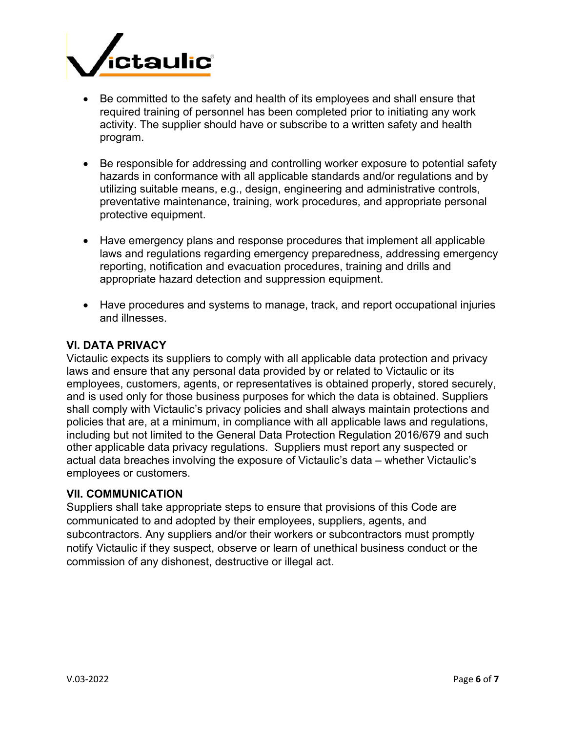

- Be committed to the safety and health of its employees and shall ensure that required training of personnel has been completed prior to initiating any work activity. The supplier should have or subscribe to a written safety and health program.
- Be responsible for addressing and controlling worker exposure to potential safety hazards in conformance with all applicable standards and/or regulations and by utilizing suitable means, e.g., design, engineering and administrative controls, preventative maintenance, training, work procedures, and appropriate personal protective equipment.
- Have emergency plans and response procedures that implement all applicable laws and regulations regarding emergency preparedness, addressing emergency reporting, notification and evacuation procedures, training and drills and appropriate hazard detection and suppression equipment.
- Have procedures and systems to manage, track, and report occupational injuries and illnesses.

## **VI. DATA PRIVACY**

Victaulic expects its suppliers to comply with all applicable data protection and privacy laws and ensure that any personal data provided by or related to Victaulic or its employees, customers, agents, or representatives is obtained properly, stored securely, and is used only for those business purposes for which the data is obtained. Suppliers shall comply with Victaulic's privacy policies and shall always maintain protections and policies that are, at a minimum, in compliance with all applicable laws and regulations, including but not limited to the General Data Protection Regulation 2016/679 and such other applicable data privacy regulations. Suppliers must report any suspected or actual data breaches involving the exposure of Victaulic's data – whether Victaulic's employees or customers.

## **VII. COMMUNICATION**

Suppliers shall take appropriate steps to ensure that provisions of this Code are communicated to and adopted by their employees, suppliers, agents, and subcontractors. Any suppliers and/or their workers or subcontractors must promptly notify Victaulic if they suspect, observe or learn of unethical business conduct or the commission of any dishonest, destructive or illegal act.